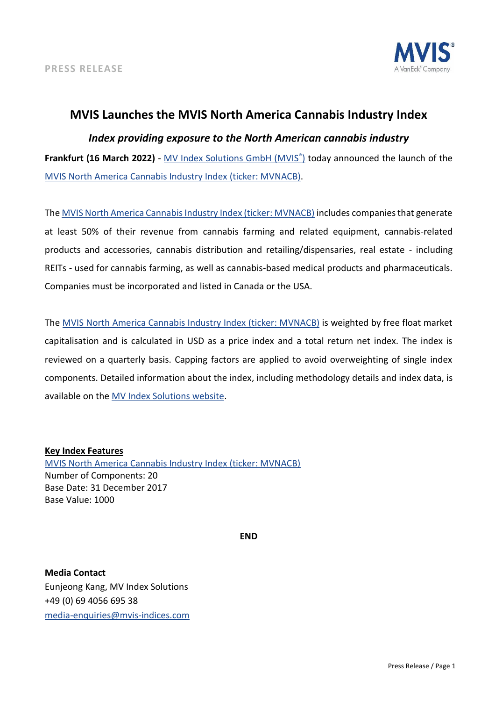

# **MVIS Launches the MVIS North America Cannabis Industry Index**

## *Index providing exposure to the North American cannabis industry*

**Frankfurt (16 March 2022)** - [MV Index Solutions GmbH \(MVIS](https://www.mvis-indices.com/)[®](https://www.mvis-indices.com/) [\)](https://www.mvis-indices.com/) today announced the launch of th[e](https://mvis-indices.com/indices/sector/MVIS-North-America-Cannabis-Industry?utm_source=mvis&utm_medium=pressrelease&utm_campaign=announcement) [MVIS North America Cannabis Industry Index](https://mvis-indices.com/indices/sector/MVIS-North-America-Cannabis-Industry?utm_source=mvis&utm_medium=pressrelease&utm_campaign=announcement) (ticker: MVNACB).

The [MVIS North America Cannabis Industry Index \(ticker: MVNACB\)](https://mvis-indices.com/indices/sector/MVIS-North-America-Cannabis-Industry?utm_source=mvis&utm_medium=pressrelease&utm_campaign=announcement) includes companies that generate at least 50% of their revenue from cannabis farming and related equipment, cannabis-related products and accessories, cannabis distribution and retailing/dispensaries, real estate - including REITs - used for cannabis farming, as well as cannabis-based medical products and pharmaceuticals. Companies must be incorporated and listed in Canada or the USA.

The [MVIS North America Cannabis Industry Index](https://mvis-indices.com/indices/sector/MVIS-North-America-Cannabis-Industry?utm_source=mvis&utm_medium=pressrelease&utm_campaign=announcement) (ticker: MVNACB) is weighted by free float market capitalisation and is calculated in USD as a price index and a total return net index. The index is reviewed on a quarterly basis. Capping factors are applied to avoid overweighting of single index components. Detailed information about the index, including methodology details and index data, is available on the [MV Index Solutions website.](https://www.mvis-indices.com/?utm_source=mvis&utm_medium=pressrelease&utm_campaign=announcement)

### **Key Index Features**

[MVIS North America Cannabis Industry Index \(ticker: MVNACB\)](https://mvis-indices.com/indices/sector/MVIS-North-America-Cannabis-Industry?utm_source=mvis&utm_medium=pressrelease&utm_campaign=announcement) Number of Components: 20 Base Date: 31 December 2017 Base Value: 1000

**END**

**Media Contact** Eunjeong Kang, MV Index Solutions +49 (0) 69 4056 695 38 [media-enquiries@mvis-indices.com](mailto:media-enquiries@mvis-indices.com)